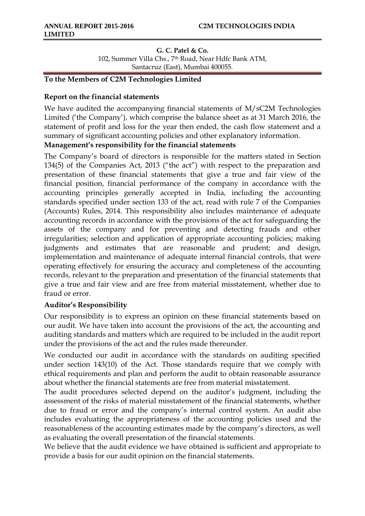**G. C. Patel & Co.** 102, Summer Villa Chs., 7th Road, Near Hdfc Bank ATM, Santacruz (East), Mumbai 400055.

## **To the Members of C2M Technologies Limited**

## **Report on the financial statements**

We have audited the accompanying financial statements of M/sC2M Technologies Limited ('the Company'), which comprise the balance sheet as at 31 March 2016, the statement of profit and loss for the year then ended, the cash flow statement and a summary of significant accounting policies and other explanatory information.

# **Management's responsibility for the financial statements**

The Company's board of directors is responsible for the matters stated in Section 134(5) of the Companies Act, 2013 ("the act") with respect to the preparation and presentation of these financial statements that give a true and fair view of the financial position, financial performance of the company in accordance with the accounting principles generally accepted in India, including the accounting standards specified under section 133 of the act, read with rule 7 of the Companies (Accounts) Rules, 2014. This responsibility also includes maintenance of adequate accounting records in accordance with the provisions of the act for safeguarding the assets of the company and for preventing and detecting frauds and other irregularities; selection and application of appropriate accounting policies; making judgments and estimates that are reasonable and prudent; and design, implementation and maintenance of adequate internal financial controls, that were operating effectively for ensuring the accuracy and completeness of the accounting records, relevant to the preparation and presentation of the financial statements that give a true and fair view and are free from material misstatement, whether due to fraud or error.

## **Auditor's Responsibility**

Our responsibility is to express an opinion on these financial statements based on our audit. We have taken into account the provisions of the act, the accounting and auditing standards and matters which are required to be included in the audit report under the provisions of the act and the rules made thereunder.

We conducted our audit in accordance with the standards on auditing specified under section 143(10) of the Act. Those standards require that we comply with ethical requirements and plan and perform the audit to obtain reasonable assurance about whether the financial statements are free from material misstatement.

The audit procedures selected depend on the auditor's judgment, including the assessment of the risks of material misstatement of the financial statements, whether due to fraud or error and the company's internal control system. An audit also includes evaluating the appropriateness of the accounting policies used and the reasonableness of the accounting estimates made by the company's directors, as well as evaluating the overall presentation of the financial statements.

We believe that the audit evidence we have obtained is sufficient and appropriate to provide a basis for our audit opinion on the financial statements.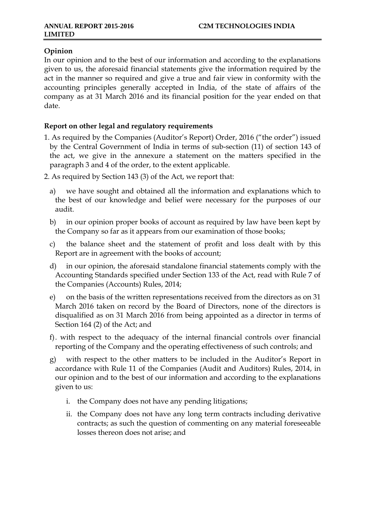# **Opinion**

In our opinion and to the best of our information and according to the explanations given to us, the aforesaid financial statements give the information required by the act in the manner so required and give a true and fair view in conformity with the accounting principles generally accepted in India, of the state of affairs of the company as at 31 March 2016 and its financial position for the year ended on that date.

## **Report on other legal and regulatory requirements**

- 1. As required by the Companies (Auditor's Report) Order, 2016 ("the order") issued by the Central Government of India in terms of sub-section (11) of section 143 of the act, we give in the annexure a statement on the matters specified in the paragraph 3 and 4 of the order, to the extent applicable.
- 2. As required by Section 143 (3) of the Act, we report that:
	- a) we have sought and obtained all the information and explanations which to the best of our knowledge and belief were necessary for the purposes of our audit.
	- b) in our opinion proper books of account as required by law have been kept by the Company so far as it appears from our examination of those books;
	- c) the balance sheet and the statement of profit and loss dealt with by this Report are in agreement with the books of account;
	- d) in our opinion, the aforesaid standalone financial statements comply with the Accounting Standards specified under Section 133 of the Act, read with Rule 7 of the Companies (Accounts) Rules, 2014;
	- e) on the basis of the written representations received from the directors as on 31 March 2016 taken on record by the Board of Directors, none of the directors is disqualified as on 31 March 2016 from being appointed as a director in terms of Section 164 (2) of the Act; and
	- f). with respect to the adequacy of the internal financial controls over financial reporting of the Company and the operating effectiveness of such controls; and
	- g) with respect to the other matters to be included in the Auditor's Report in accordance with Rule 11 of the Companies (Audit and Auditors) Rules, 2014, in our opinion and to the best of our information and according to the explanations given to us:
		- i. the Company does not have any pending litigations;
		- ii. the Company does not have any long term contracts including derivative contracts; as such the question of commenting on any material foreseeable losses thereon does not arise; and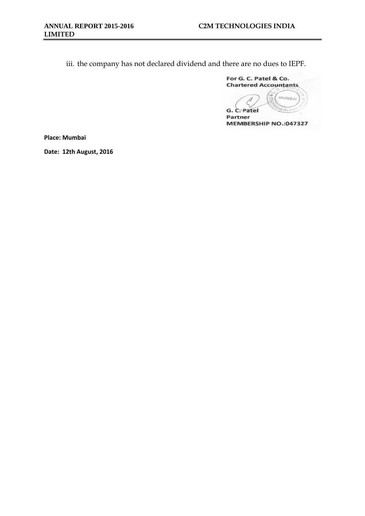iii. the company has not declared dividend and there are no dues to IEPF.

For G. C. Patel & Co. **Chartered Accountants**  $\frac{4}{2}$ **MUMBAI** 1 G. C. Patel Partner MEMBERSHIP NO.:047327

**Place: Mumbai** 

**Date: 12th August, 2016**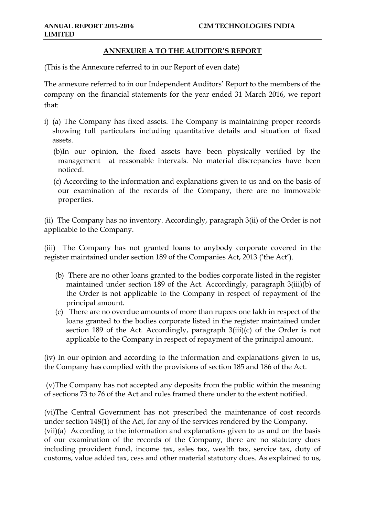## **ANNEXURE A TO THE AUDITOR'S REPORT**

(This is the Annexure referred to in our Report of even date)

The annexure referred to in our Independent Auditors' Report to the members of the company on the financial statements for the year ended 31 March 2016, we report that:

- i) (a) The Company has fixed assets. The Company is maintaining proper records showing full particulars including quantitative details and situation of fixed assets.
	- (b)In our opinion, the fixed assets have been physically verified by the management at reasonable intervals. No material discrepancies have been noticed.
	- (c) According to the information and explanations given to us and on the basis of our examination of the records of the Company, there are no immovable properties.

(ii) The Company has no inventory. Accordingly, paragraph 3(ii) of the Order is not applicable to the Company.

(iii) The Company has not granted loans to anybody corporate covered in the register maintained under section 189 of the Companies Act, 2013 ('the Act').

- (b) There are no other loans granted to the bodies corporate listed in the register maintained under section 189 of the Act. Accordingly, paragraph 3(iii)(b) of the Order is not applicable to the Company in respect of repayment of the principal amount.
- (c) There are no overdue amounts of more than rupees one lakh in respect of the loans granted to the bodies corporate listed in the register maintained under section 189 of the Act. Accordingly, paragraph 3(iii)(c) of the Order is not applicable to the Company in respect of repayment of the principal amount.

(iv) In our opinion and according to the information and explanations given to us, the Company has complied with the provisions of section 185 and 186 of the Act.

(v)The Company has not accepted any deposits from the public within the meaning of sections 73 to 76 of the Act and rules framed there under to the extent notified.

(vi)The Central Government has not prescribed the maintenance of cost records under section 148(1) of the Act, for any of the services rendered by the Company. (vii)(a) According to the information and explanations given to us and on the basis of our examination of the records of the Company, there are no statutory dues including provident fund, income tax, sales tax, wealth tax, service tax, duty of customs, value added tax, cess and other material statutory dues. As explained to us,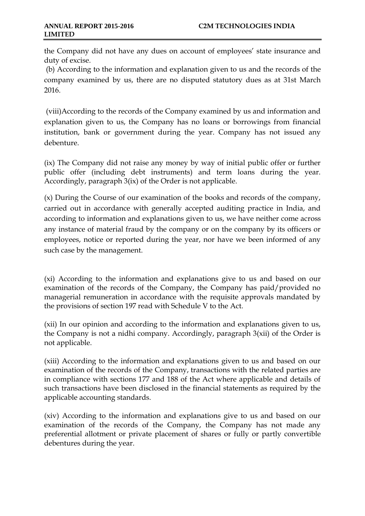the Company did not have any dues on account of employees' state insurance and duty of excise.

(b) According to the information and explanation given to us and the records of the company examined by us, there are no disputed statutory dues as at 31st March 2016.

(viii)According to the records of the Company examined by us and information and explanation given to us, the Company has no loans or borrowings from financial institution, bank or government during the year. Company has not issued any debenture.

(ix) The Company did not raise any money by way of initial public offer or further public offer (including debt instruments) and term loans during the year. Accordingly, paragraph 3(ix) of the Order is not applicable.

(x) During the Course of our examination of the books and records of the company, carried out in accordance with generally accepted auditing practice in India, and according to information and explanations given to us, we have neither come across any instance of material fraud by the company or on the company by its officers or employees, notice or reported during the year, nor have we been informed of any such case by the management.

(xi) According to the information and explanations give to us and based on our examination of the records of the Company, the Company has paid/provided no managerial remuneration in accordance with the requisite approvals mandated by the provisions of section 197 read with Schedule V to the Act.

(xii) In our opinion and according to the information and explanations given to us, the Company is not a nidhi company. Accordingly, paragraph 3(xii) of the Order is not applicable.

(xiii) According to the information and explanations given to us and based on our examination of the records of the Company, transactions with the related parties are in compliance with sections 177 and 188 of the Act where applicable and details of such transactions have been disclosed in the financial statements as required by the applicable accounting standards.

(xiv) According to the information and explanations give to us and based on our examination of the records of the Company, the Company has not made any preferential allotment or private placement of shares or fully or partly convertible debentures during the year.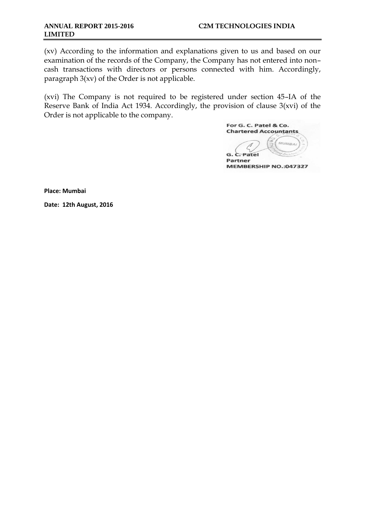(xv) According to the information and explanations given to us and based on our examination of the records of the Company, the Company has not entered into non– cash transactions with directors or persons connected with him. Accordingly, paragraph 3(xv) of the Order is not applicable.

(xvi) The Company is not required to be registered under section 45–IA of the Reserve Bank of India Act 1934. Accordingly, the provision of clause 3(xvi) of the Order is not applicable to the company.

For G. C. Patel & Co. **Chartered Accountants MUMBA** 1 G. C. Patel **Partner** MEMBERSHIP NO.:047327

**Place: Mumbai** 

**Date: 12th August, 2016**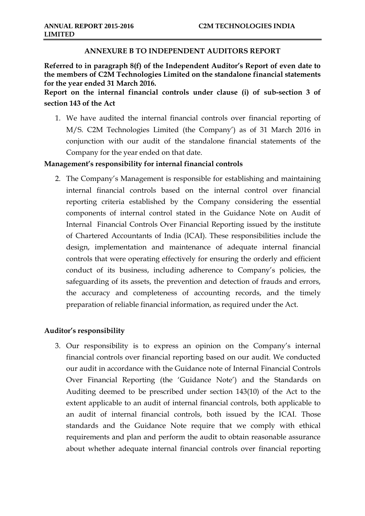## **ANNEXURE B TO INDEPENDENT AUDITORS REPORT**

**Referred to in paragraph 8(f) of the Independent Auditor's Report of even date to the members of C2M Technologies Limited on the standalone financial statements for the year ended 31 March 2016.**

**Report on the internal financial controls under clause (i) of sub-section 3 of section 143 of the Act**

1. We have audited the internal financial controls over financial reporting of M/S. C2M Technologies Limited (the Company') as of 31 March 2016 in conjunction with our audit of the standalone financial statements of the Company for the year ended on that date.

# **Management's responsibility for internal financial controls**

2. The Company's Management is responsible for establishing and maintaining internal financial controls based on the internal control over financial reporting criteria established by the Company considering the essential components of internal control stated in the Guidance Note on Audit of Internal Financial Controls Over Financial Reporting issued by the institute of Chartered Accountants of India (ICAI). These responsibilities include the design, implementation and maintenance of adequate internal financial controls that were operating effectively for ensuring the orderly and efficient conduct of its business, including adherence to Company's policies, the safeguarding of its assets, the prevention and detection of frauds and errors, the accuracy and completeness of accounting records, and the timely preparation of reliable financial information, as required under the Act.

## **Auditor's responsibility**

3. Our responsibility is to express an opinion on the Company's internal financial controls over financial reporting based on our audit. We conducted our audit in accordance with the Guidance note of Internal Financial Controls Over Financial Reporting (the 'Guidance Note') and the Standards on Auditing deemed to be prescribed under section 143(10) of the Act to the extent applicable to an audit of internal financial controls, both applicable to an audit of internal financial controls, both issued by the ICAI. Those standards and the Guidance Note require that we comply with ethical requirements and plan and perform the audit to obtain reasonable assurance about whether adequate internal financial controls over financial reporting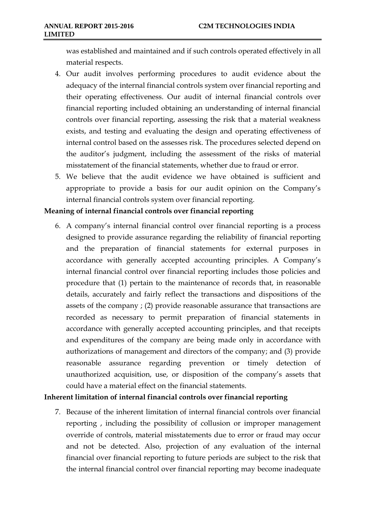was established and maintained and if such controls operated effectively in all material respects.

- 4. Our audit involves performing procedures to audit evidence about the adequacy of the internal financial controls system over financial reporting and their operating effectiveness. Our audit of internal financial controls over financial reporting included obtaining an understanding of internal financial controls over financial reporting, assessing the risk that a material weakness exists, and testing and evaluating the design and operating effectiveness of internal control based on the assesses risk. The procedures selected depend on the auditor's judgment, including the assessment of the risks of material misstatement of the financial statements, whether due to fraud or error.
- 5. We believe that the audit evidence we have obtained is sufficient and appropriate to provide a basis for our audit opinion on the Company's internal financial controls system over financial reporting.

# **Meaning of internal financial controls over financial reporting**

6. A company's internal financial control over financial reporting is a process designed to provide assurance regarding the reliability of financial reporting and the preparation of financial statements for external purposes in accordance with generally accepted accounting principles. A Company's internal financial control over financial reporting includes those policies and procedure that (1) pertain to the maintenance of records that, in reasonable details, accurately and fairly reflect the transactions and dispositions of the assets of the company ; (2) provide reasonable assurance that transactions are recorded as necessary to permit preparation of financial statements in accordance with generally accepted accounting principles, and that receipts and expenditures of the company are being made only in accordance with authorizations of management and directors of the company; and (3) provide reasonable assurance regarding prevention or timely detection of unauthorized acquisition, use, or disposition of the company's assets that could have a material effect on the financial statements.

## **Inherent limitation of internal financial controls over financial reporting**

7. Because of the inherent limitation of internal financial controls over financial reporting , including the possibility of collusion or improper management override of controls, material misstatements due to error or fraud may occur and not be detected. Also, projection of any evaluation of the internal financial over financial reporting to future periods are subject to the risk that the internal financial control over financial reporting may become inadequate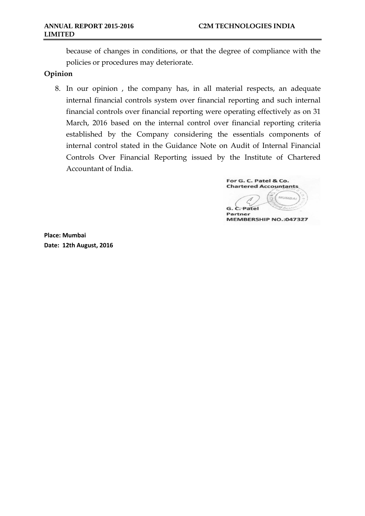because of changes in conditions, or that the degree of compliance with the policies or procedures may deteriorate.

# **Opinion**

8. In our opinion , the company has, in all material respects, an adequate internal financial controls system over financial reporting and such internal financial controls over financial reporting were operating effectively as on 31 March, 2016 based on the internal control over financial reporting criteria established by the Company considering the essentials components of internal control stated in the Guidance Note on Audit of Internal Financial Controls Over Financial Reporting issued by the Institute of Chartered Accountant of India.

For G. C. Patel & Co. **Chartered Accountants MUMBA** G. C. Patel Partner MEMBERSHIP NO.:047327

**Place: Mumbai Date: 12th August, 2016**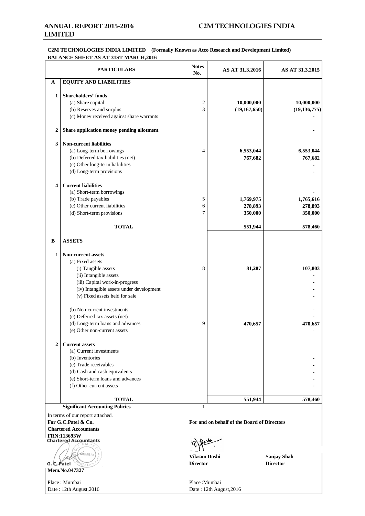### **C2M TECHNOLOGIES INDIA LIMITED (Formally Known as Atco Research and Development Limited) BALANCE SHEET AS AT 31ST MARCH,2016**

|                  | <b>PARTICULARS</b>                        | <b>Notes</b><br>No. | AS AT 31.3.2016 | AS AT 31.3.2015 |
|------------------|-------------------------------------------|---------------------|-----------------|-----------------|
| A                | <b>EQUITY AND LIABILITIES</b>             |                     |                 |                 |
| 1                | <b>Shareholders' funds</b>                |                     |                 |                 |
|                  | (a) Share capital                         | 2                   | 10,000,000      | 10,000,000      |
|                  | (b) Reserves and surplus                  | 3                   | (19, 167, 650)  | (19, 136, 775)  |
|                  | (c) Money received against share warrants |                     |                 |                 |
| $\mathbf{2}$     | Share application money pending allotment |                     |                 |                 |
| 3                | <b>Non-current liabilities</b>            |                     |                 |                 |
|                  | (a) Long-term borrowings                  | 4                   | 6,553,044       | 6,553,044       |
|                  | (b) Deferred tax liabilities (net)        |                     | 767,682         | 767,682         |
|                  | (c) Other long-term liabilities           |                     |                 |                 |
|                  | (d) Long-term provisions                  |                     |                 |                 |
| 4                | <b>Current liabilities</b>                |                     |                 |                 |
|                  | (a) Short-term borrowings                 |                     |                 |                 |
|                  | (b) Trade payables                        | 5                   | 1,769,975       | 1,765,616       |
|                  | (c) Other current liabilities             | 6                   | 278,893         | 278,893         |
|                  | (d) Short-term provisions                 | 7                   | 350,000         | 350,000         |
|                  | <b>TOTAL</b>                              |                     | 551,944         | 578,460         |
| B                | <b>ASSETS</b>                             |                     |                 |                 |
| 1                | <b>Non-current assets</b>                 |                     |                 |                 |
|                  | (a) Fixed assets                          |                     |                 |                 |
|                  | (i) Tangible assets                       | 8                   | 81,287          | 107,803         |
|                  | (ii) Intangible assets                    |                     |                 |                 |
|                  | (iii) Capital work-in-progress            |                     |                 |                 |
|                  | (iv) Intangible assets under development  |                     |                 |                 |
|                  | (v) Fixed assets held for sale            |                     |                 |                 |
|                  | (b) Non-current investments               |                     |                 |                 |
|                  | (c) Deferred tax assets (net)             |                     |                 |                 |
|                  | (d) Long-term loans and advances          | 9                   | 470,657         | 470,657         |
|                  | (e) Other non-current assets              |                     |                 |                 |
| $\boldsymbol{2}$ | <b>Current assets</b>                     |                     |                 |                 |
|                  | (a) Current investments                   |                     |                 |                 |
|                  | (b) Inventories                           |                     |                 |                 |
|                  | (c) Trade receivables                     |                     |                 |                 |
|                  | (d) Cash and cash equivalents             |                     |                 |                 |
|                  | (e) Short-term loans and advances         |                     |                 |                 |
|                  | (f) Other current assets                  |                     |                 |                 |
|                  | <b>TOTAL</b>                              |                     | 551,944         | 578,460         |
|                  | <b>Significant Accounting Policies</b>    | 1                   |                 |                 |

In terms of our report attached.

**Chartered Accountants FRN:113693W**

**MUMB** \l8 G. C. Patel

**Mem.No.047327**

Place : Mumbai Place : Mumbai

**For G.C.Patel & Co. For and on behalf of the Board of Directors** 

**Vikram Doshi Sanjay Shah**

**Director Director**

Date : 12th August, 2016 Date : 12th August, 2016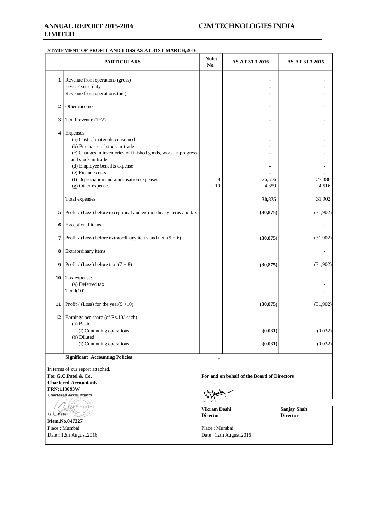# **Notes No. AS AT 31.3.2016 AS AT 31.3.2015 1** Revenue from operations (gross) **- -** Less: Excise duty **- -** Revenue from operations (net) **2** Other income **3** Total revenue  $(1+2)$  **4** Expenses (a) Cost of materials consumed **- -** (b) Purchases of stock-in-trade (c) Changes in inventories of finished goods, work-in-progress and stock-in-trade  **- -** (d) Employee benefits expense **- -** (e) Finance costs<br>
(f) Depreciation and amortisation expenses<br>
(f) Depreciation and amortisation expenses<br>
(g)  $\frac{1}{8}$ <br>  $\frac{26.516}{27.386}$ (f) Depreciation and amortisation expenses 8 26,516 27,386 (g) Other expenses  $4.359$   $4.516$ Total expenses 31,902 **5** Profit / (Loss) before exceptional and extraordinary items and tax **(30,875)** (31,902)  **6** Exceptional items -  **7** Profit / (Loss) before extraordinary items and tax (5 + 6) **(30,875)** (31,902) **8** Extraordinary items  **9** Profit / (Loss) before tax (7 + 8) **(30,875)** (31,902) 10 Tax expense: (a) Deferred tax  $\qquad \qquad$  $\text{Total}(10)$ **11** Profit / (Loss) for the year(9 +10) **(30,875)** (31,902) **(30,875)** (31,902)  **12** Earnings per share (of Rs.10/-each) (a) Basic (i) Continuing operations  $(0.031)$   $(0.032)$ (b) Diluted (i) Continuing operations  $(0.031)$   $(0.032)$  1 **PARTICULARS**

### **STATEMENT OF PROFIT AND LOSS AS AT 31ST MARCH,2016**

 **Significant Accounting Policies** 

In terms of our report attached. **Chartered Accountants - FRN:113693W**

mumb. \e& G. C. Patel

**Mem.No.047327** Date : 12th August, 2016 Date : 12th August, 2016 Place : Mumbai

**For G.C.Patel & Co. For and on behalf of the Board of Directors** 

**Vikram Doshi Sanjay Shah Director Director**

Place : Mumbai

Bhah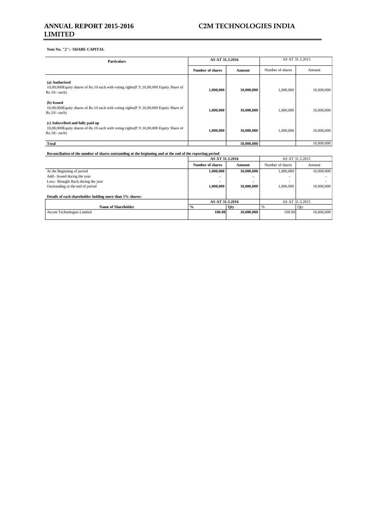### **Note No. "2":- SHARE CAPITAL**

| <b>Particulars</b>                                                                                                                            | AS AT 31.3.2016         |            | AS AT 31.3.2015  |            |
|-----------------------------------------------------------------------------------------------------------------------------------------------|-------------------------|------------|------------------|------------|
|                                                                                                                                               | <b>Number of shares</b> | Amount     | Number of shares | Amount     |
| (a) Authorised<br>10,00,000 Equity shares of Rs.10 each with voting rights (P.Y.10,00,000 Equity Share of<br>$Rs.10/- each$                   | 1.000.000               | 10,000,000 | 1,000,000        | 10,000,000 |
| (b) Issued<br>10,00,000 Equity shares of Rs.10 each with voting rights (P.Y.10,00,000 Equity Share of<br>$Rs.10/-$ each)                      | 1,000,000               | 10,000,000 | 1,000,000        | 10,000,000 |
| (c) Subscribed and fully paid up<br>10,00,000 Equity shares of Rs.10 each with voting rights (P.Y.10,00,000 Equity Share of<br>$Rs.10/- each$ | 1,000,000               | 10,000,000 | 1,000,000        | 10,000,000 |
| <b>Total</b>                                                                                                                                  |                         | 10,000,000 |                  | 10,000,000 |

#### **Reconciliation of the number of shares outstanding at the beginning and at the end of the reporting period**

|                                                          | AS AT 31.3.2016         |                          | AS AT 31.3.2015          |                 |  |
|----------------------------------------------------------|-------------------------|--------------------------|--------------------------|-----------------|--|
|                                                          | <b>Number of shares</b> | <b>Amount</b>            | Number of shares         | Amount          |  |
| At the Beginning of period                               | 1,000,000               | 10,000,000               | 1,000,000                | 10,000,000      |  |
| Add:- Issued during the year                             |                         | $\overline{\phantom{0}}$ |                          |                 |  |
| Less:- Brought Back during the year                      |                         | ۰                        | $\overline{\phantom{a}}$ |                 |  |
| Outstanding at the end of period                         | 1,000,000               | 10,000,000               | 1,000,000                | 10,000,000      |  |
|                                                          |                         |                          |                          |                 |  |
| Details of each shareholder holding more than 5% shares: |                         |                          |                          |                 |  |
|                                                          | AS AT 31.3.2016         |                          |                          | AS AT 31.3.2015 |  |
| <b>Name of Shareholder</b>                               | $\frac{0}{0}$           | Qty                      |                          | Qty             |  |
| Atcom Technologies Limited                               | 100.00                  | 10,000,000               | 100.00                   | 10,000,000      |  |
|                                                          |                         |                          |                          |                 |  |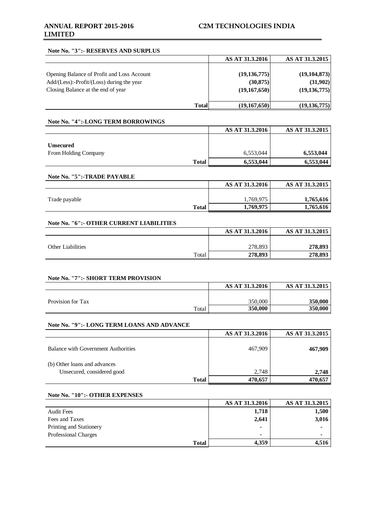### **Note No. "3":- RESERVES AND SURPLUS**

|                                                                                                                               | AS AT 31.3.2016                             | AS AT 31.3.2015                              |
|-------------------------------------------------------------------------------------------------------------------------------|---------------------------------------------|----------------------------------------------|
| Opening Balance of Profit and Loss Account<br>Add/(Less):-Profit/(Loss) during the year<br>Closing Balance at the end of year | (19, 136, 775)<br>(30, 875)<br>(19,167,650) | (19, 104, 873)<br>(31,902)<br>(19, 136, 775) |
| <b>Total</b>                                                                                                                  | (19,167,650)                                | (19, 136, 775)                               |

### **Note No. "4":-LONG TERM BORROWINGS**

|                                          | AS AT 31.3.2016 | AS AT 31.3.2015 |
|------------------------------------------|-----------------|-----------------|
| <b>Unsecured</b><br>From Holding Company | 6,553,044       | 6,553,044       |
| <b>Total</b>                             | 6,553,044       | 6,553,044       |

### **Note No. "5":-TRADE PAYABLE**

|              |           | AS AT 31.3.2015              |
|--------------|-----------|------------------------------|
|              |           |                              |
|              | 1,769,975 | 1,765,616                    |
| <b>Total</b> |           | 1,765,616                    |
|              |           | AS AT 31.3.2016<br>1,769,975 |

## **Note No. "6":- OTHER CURRENT LIABILITIES**

|                   |       | AS AT 31.3.2016 | AS AT 31.3.2015 |
|-------------------|-------|-----------------|-----------------|
|                   |       |                 |                 |
| Other Liabilities |       | 278,893         | 278,893         |
|                   | Total | 278,893         | 278,893         |

### **Note No. "7":- SHORT TERM PROVISION**

|                   | AS AT 31.3.2016 | AS AT 31.3.2015 |
|-------------------|-----------------|-----------------|
|                   |                 |                 |
| Provision for Tax | 350,000         | <b>350,000</b>  |
| Total             | 350,000         | 350,000         |

### **Note No. "9":- LONG TERM LOANS AND ADVANCE**

|                                     | AS AT 31.3.2016 | AS AT 31.3.2015 |
|-------------------------------------|-----------------|-----------------|
| Balance with Government Authorities | 467,909         | 467,909         |
| (b) Other loans and advances        |                 |                 |
| Unsecured, considered good          | 2.748           | 2.748           |
| <b>Total</b>                        | 470,657         | 470.657         |

## **Note No. "10":- OTHER EXPENSES**

|                             | AS AT 31.3.2016 | AS AT 31.3.2015 |
|-----------------------------|-----------------|-----------------|
| <b>Audit Fees</b>           | 1,718           | 1,500           |
| Fees and Taxes              | 2,641           | 3,016           |
| Printing and Stationery     | $\blacksquare$  |                 |
| <b>Professional Charges</b> | $\blacksquare$  | $\blacksquare$  |
| <b>Total</b>                | 4,359           | 4.516           |